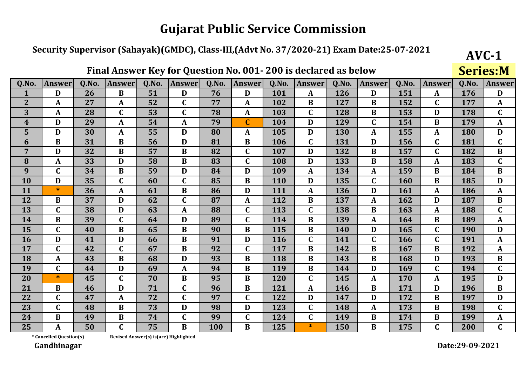### Security Supervisor (Sahayak)(GMDC), Class-III,(Advt No. 37/2020-21) Exam Date:25-07-2021

Final Answer Key for Question No. 001-200 is declared as below

|                  |               |       |               |       | ∼                |       |                         |       |               |       |             |              |                  |       | DUI IUDII'I      |
|------------------|---------------|-------|---------------|-------|------------------|-------|-------------------------|-------|---------------|-------|-------------|--------------|------------------|-------|------------------|
| Q.No.            | <b>Answer</b> | 0.No. | <b>Answer</b> | Q.No. | <b>Answer</b>    | Q.No. | <b>Answer</b>           | Q.No. | <b>Answer</b> | Q.No. | Answer      | <b>O.No.</b> | <b>Answer</b>    | Q.No. | <b>Answer</b>    |
| 1                | D             | 26    | $\bf{B}$      | 51    | D                | 76    | D                       | 101   | A             | 126   | D           | 151          | A                | 176   | D                |
| $\overline{2}$   | A             | 27    | $\mathbf{A}$  | 52    | $\mathbf C$      | 77    | A                       | 102   | B             | 127   | B           | 152          | $\mathbf C$      | 177   | $\mathbf{A}$     |
| 3                | A             | 28    | $\mathbf C$   | 53    | $\mathbf C$      | 78    | $\mathbf A$             | 103   | $\mathbf C$   | 128   | B           | 153          | D                | 178   | $\mathbf C$      |
| $\boldsymbol{4}$ | D             | 29    | $\mathbf{A}$  | 54    | $\mathbf{A}$     | 79    | $\overline{\mathsf{C}}$ | 104   | D             | 129   | $\mathbf C$ | 154          | $\bf{B}$         | 179   | $\mathbf{A}$     |
| 5                | D             | 30    | $\mathbf{A}$  | 55    | D                | 80    | A                       | 105   | D             | 130   | A           | 155          | $\boldsymbol{A}$ | 180   | D                |
| 6                | $\bf{B}$      | 31    | $\bf{B}$      | 56    | D                | 81    | $\bf{B}$                | 106   | $\mathbf C$   | 131   | D           | 156          | $\mathbf C$      | 181   | $\mathbf C$      |
| $\overline{7}$   | D             | 32    | $\bf{B}$      | 57    | $\bf{B}$         | 82    | $\mathbf C$             | 107   | D             | 132   | $\bf{B}$    | 157          | $\mathbf C$      | 182   | $\bf{B}$         |
| 8                | A             | 33    | D             | 58    | B                | 83    | $\mathsf{C}$            | 108   | D             | 133   | B           | 158          | A                | 183   | $\mathbf C$      |
| 9                | $\mathbf C$   | 34    | $\bf{B}$      | 59    | D                | 84    | D                       | 109   | A             | 134   | A           | 159          | B                | 184   | $\bf{B}$         |
| 10               | D             | 35    | $\mathbf C$   | 60    | $\mathbf C$      | 85    | B                       | 110   | D             | 135   | $\mathbf C$ | 160          | $\bf{B}$         | 185   | D                |
| 11               | $\ast$        | 36    | A             | 61    | B                | 86    | D                       | 111   | A             | 136   | D           | 161          | A                | 186   | $\boldsymbol{A}$ |
| 12               | $\bf{B}$      | 37    | D             | 62    | $\mathbf C$      | 87    | A                       | 112   | B             | 137   | A           | 162          | D                | 187   | $\bf{B}$         |
| 13               | $\mathbf C$   | 38    | D             | 63    | $\boldsymbol{A}$ | 88    | $\mathbf C$             | 113   | $\mathbf C$   | 138   | $\bf{B}$    | 163          | A                | 188   | $\mathbf C$      |
| 14               | $\bf{B}$      | 39    | $\mathbf C$   | 64    | D                | 89    | $\mathsf{C}$            | 114   | $\bf{B}$      | 139   | A           | 164          | B                | 189   | $\mathbf{A}$     |
| 15               | $\mathbf C$   | 40    | $\bf{B}$      | 65    | B                | 90    | $\bf{B}$                | 115   | B             | 140   | D           | 165          | $\mathbf C$      | 190   | D                |
| 16               | D             | 41    | D             | 66    | $\bf{B}$         | 91    | D                       | 116   | $\mathbf C$   | 141   | C           | 166          | $\mathbf C$      | 191   | $\mathbf{A}$     |
| 17               | $\mathbf C$   | 42    | $\mathbf C$   | 67    | $\bf{B}$         | 92    | $\mathsf{C}$            | 117   | B             | 142   | B           | 167          | $\bf{B}$         | 192   | $\boldsymbol{A}$ |
| 18               | A             | 43    | $\bf{B}$      | 68    | D                | 93    | $\bf{B}$                | 118   | $\bf{B}$      | 143   | $\bf{B}$    | 168          | D                | 193   | $\bf{B}$         |
| 19               | $\mathbf C$   | 44    | $\mathbf{D}$  | 69    | $\mathbf{A}$     | 94    | $\bf{B}$                | 119   | $\bf{B}$      | 144   | D           | 169          | $\mathbf C$      | 194   | $\mathbf C$      |
| 20               | $\ast$        | 45    | $\mathbf C$   | 70    | $\bf{B}$         | 95    | $\bf{B}$                | 120   | $\mathbf C$   | 145   | A           | 170          | A                | 195   | D                |
| 21               | B             | 46    | D             | 71    | $\mathbf C$      | 96    | B                       | 121   | A             | 146   | $\bf{B}$    | 171          | D                | 196   | $\bf{B}$         |
| 22               | $\mathbf C$   | 47    | A             | 72    | $\mathbf C$      | 97    | C                       | 122   | D             | 147   | D           | 172          | B                | 197   | D                |
| 23               | $\mathbf C$   | 48    | $\bf{B}$      | 73    | D                | 98    | D                       | 123   | $\mathbf C$   | 148   | A           | 173          | B                | 198   | $\mathbf C$      |
| 24               | B             | 49    | $\bf{B}$      | 74    | $\mathbf C$      | 99    | $\mathbf C$             | 124   | $\mathbf C$   | 149   | B           | 174          | $\bf{B}$         | 199   | A                |
| 25               | A             | 50    | $\mathbf C$   | 75    | $\overline{B}$   | 100   | $\overline{B}$          | 125   | $\ast$        | 150   | B           | 175          | $\mathbf C$      | 200   | $\mathbf{C}$     |

\* Cancelled Question(s)

Revised Answer(s) is(are) Highlighted

Gandhinagar

 $AVC-1$ 

**Series**: M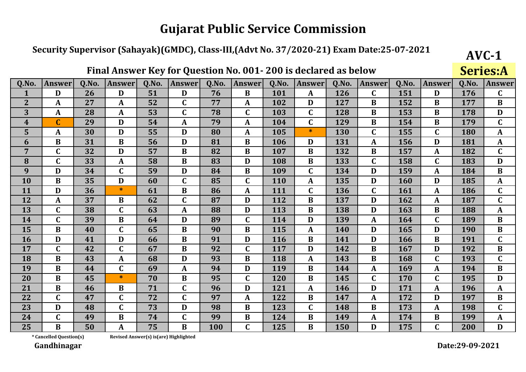### Security Supervisor (Sahayak)(GMDC), Class-III,(Advt No. 37/2020-21) Exam Date:25-07-2021

|                  | Final Answer Key for Question No. 001-200 is declared as below<br>Q.No.<br>Q.No.<br>Q.No.<br><b>Answer</b><br>Q.No.<br>Q.No.<br>Q.No.<br><b>Answer</b><br>Answer<br><b>Answer</b><br>Answer<br><b>Answer</b><br><b>Answer</b> |    |              |    |              |     |              |     |             |     |             |     |                  |       |               |
|------------------|-------------------------------------------------------------------------------------------------------------------------------------------------------------------------------------------------------------------------------|----|--------------|----|--------------|-----|--------------|-----|-------------|-----|-------------|-----|------------------|-------|---------------|
| Q.No.            |                                                                                                                                                                                                                               |    |              |    |              |     |              |     |             |     |             |     |                  | Q.No. | <b>Answer</b> |
| 1                | D                                                                                                                                                                                                                             | 26 | D            | 51 | D            | 76  | B            | 101 | A           | 126 | $\mathbf C$ | 151 | D                | 176   | $\mathbf C$   |
| 2 <sup>2</sup>   | A                                                                                                                                                                                                                             | 27 | $\mathbf{A}$ | 52 | $\mathbf C$  | 77  | A            | 102 | D           | 127 | B           | 152 | B                | 177   | $\bf{B}$      |
| 3                | A                                                                                                                                                                                                                             | 28 | A            | 53 | $\mathbf C$  | 78  | $\mathbf C$  | 103 | $\mathbf C$ | 128 | B           | 153 | B                | 178   | D             |
| $\boldsymbol{4}$ | $\mathbf C$                                                                                                                                                                                                                   | 29 | D            | 54 | A            | 79  | $\mathbf{A}$ | 104 | $\mathbf C$ | 129 | B           | 154 | B                | 179   | $\mathbf C$   |
| 5                | A                                                                                                                                                                                                                             | 30 | D            | 55 | D            | 80  | $\mathbf{A}$ | 105 | $\ast$      | 130 | $\mathbf C$ | 155 | $\mathbf C$      | 180   | $\mathbf{A}$  |
| 6                | $\bf{B}$                                                                                                                                                                                                                      | 31 | $\bf{B}$     | 56 | D            | 81  | B            | 106 | D           | 131 | A           | 156 | D                | 181   | A             |
| $\overline{7}$   | $\mathbf C$                                                                                                                                                                                                                   | 32 | D            | 57 | B            | 82  | B            | 107 | B           | 132 | B           | 157 | A                | 182   | $\mathbf C$   |
| 8                | $\mathbf C$                                                                                                                                                                                                                   | 33 | $\mathbf A$  | 58 | $\bf{B}$     | 83  | D            | 108 | $\bf{B}$    | 133 | $\mathbf C$ | 158 | $\mathbf C$      | 183   | D             |
| 9                | D                                                                                                                                                                                                                             | 34 | $\mathbf C$  | 59 | D            | 84  | B            | 109 | $\mathbf C$ | 134 | D           | 159 | $\mathbf{A}$     | 184   | $\bf{B}$      |
| 10               | $\bf{B}$                                                                                                                                                                                                                      | 35 | D            | 60 | $\mathbf C$  | 85  | $\mathbf C$  | 110 | A           | 135 | D           | 160 | D                | 185   | $\mathbf{A}$  |
| 11               | D                                                                                                                                                                                                                             | 36 | ∗            | 61 | $\bf{B}$     | 86  | A            | 111 | $\mathbf C$ | 136 | C           | 161 | A                | 186   | $\mathbf C$   |
| 12               | A                                                                                                                                                                                                                             | 37 | B            | 62 | $\mathbf C$  | 87  | D            | 112 | B           | 137 | D           | 162 | $\boldsymbol{A}$ | 187   | $\mathbf C$   |
| 13               | $\mathbf C$                                                                                                                                                                                                                   | 38 | $\mathbf C$  | 63 | $\mathbf{A}$ | 88  | D            | 113 | $\bf{B}$    | 138 | D           | 163 | $\bf{B}$         | 188   | $\mathbf A$   |
| 14               | $\mathbf C$                                                                                                                                                                                                                   | 39 | B            | 64 | D            | 89  | $\mathbf C$  | 114 | D           | 139 | A           | 164 | $\mathbf C$      | 189   | $\bf{B}$      |
| 15               | $\bf{B}$                                                                                                                                                                                                                      | 40 | $\mathbf C$  | 65 | $\bf{B}$     | 90  | $\bf{B}$     | 115 | A           | 140 | D           | 165 | D                | 190   | B             |
| <b>16</b>        | D                                                                                                                                                                                                                             | 41 | D            | 66 | $\bf{B}$     | 91  | D            | 116 | B           | 141 | D           | 166 | B                | 191   | $\mathbf C$   |
| 17               | $\mathbf C$                                                                                                                                                                                                                   | 42 | $\mathbf C$  | 67 | $\bf{B}$     | 92  | $\mathbf C$  | 117 | D           | 142 | B           | 167 | D                | 192   | $\bf{B}$      |
| 18               | $\bf{B}$                                                                                                                                                                                                                      | 43 | $\mathbf{A}$ | 68 | D            | 93  | B            | 118 | A           | 143 | $\bf{B}$    | 168 | $\mathbf C$      | 193   | $\mathbf C$   |
| 19               | B                                                                                                                                                                                                                             | 44 | $\mathbf C$  | 69 | A            | 94  | D            | 119 | B           | 144 | A           | 169 | A                | 194   | B             |
| 20               | $\bf{B}$                                                                                                                                                                                                                      | 45 | $\ast$       | 70 | $\bf{B}$     | 95  | $\mathbf C$  | 120 | $\bf{B}$    | 145 | $\mathbf C$ | 170 | $\mathbf C$      | 195   | D             |
| 21               | $\bf{B}$                                                                                                                                                                                                                      | 46 | B            | 71 | $\mathbf C$  | 96  | D            | 121 | A           | 146 | D           | 171 | $\boldsymbol{A}$ | 196   | $\mathbf{A}$  |
| 22               | $\mathbf C$                                                                                                                                                                                                                   | 47 | $\mathbf C$  | 72 | $\mathbf C$  | 97  | $\mathbf{A}$ | 122 | $\bf{B}$    | 147 | A           | 172 | D                | 197   | $\bf{B}$      |
| 23               | D                                                                                                                                                                                                                             | 48 | $\mathbf C$  | 73 | D            | 98  | B            | 123 | $\mathbf C$ | 148 | $\bf{B}$    | 173 | A                | 198   | $\mathbf C$   |
| 24               | $\mathbf C$                                                                                                                                                                                                                   | 49 | $\bf{B}$     | 74 | $\mathbf C$  | 99  | B            | 124 | $\bf{B}$    | 149 | A           | 174 | $\bf{B}$         | 199   | A             |
| 25               | B                                                                                                                                                                                                                             | 50 | A            | 75 | $\bf{B}$     | 100 | C.           | 125 | B           | 150 | D           | 175 | $\mathbf C$      | 200   | D             |

\* Cancelled Question(s)

Revised Answer(s) is(are) Highlighted

Gandhinagar

Date:29-09-2021

 $AVC-1$ 

 $Cariac A$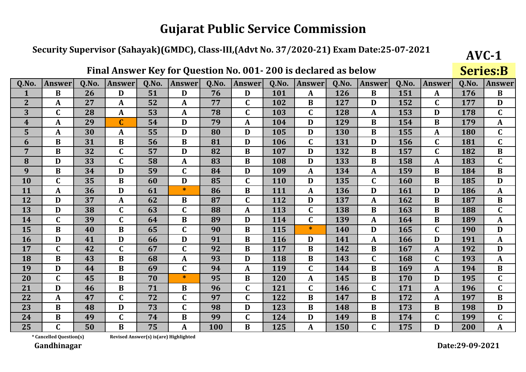### Security Supervisor (Sahayak)(GMDC), Class-III,(Advt No. 37/2020-21) Exam Date:25-07-2021

|                  |               |       |               |       | ∼                |       |                         |       |                  |       |               |       |               |       | UCI ICJID     |
|------------------|---------------|-------|---------------|-------|------------------|-------|-------------------------|-------|------------------|-------|---------------|-------|---------------|-------|---------------|
| Q.No.            | <b>Answer</b> | 0.No. | <b>Answer</b> | Q.No. | <b>Answer</b>    | Q.No. | <b>Answer</b>           | Q.No. | <b>Answer</b>    | Q.No. | <b>Answer</b> | 0.No. | <b>Answer</b> | Q.No. | <b>Answer</b> |
| $\mathbf{1}$     | $\bf{B}$      | 26    | D             | 51    | D                | 76    | D                       | 101   | A                | 126   | $\bf{B}$      | 151   | A             | 176   | $\bf{B}$      |
| $\overline{2}$   | A             | 27    | A             | 52    | A                | 77    | C                       | 102   | B                | 127   | D             | 152   | $\mathbf C$   | 177   | D             |
| 3                | $\mathbf C$   | 28    | $\mathbf A$   | 53    | A                | 78    | $\overline{\mathsf{C}}$ | 103   | $\mathbf C$      | 128   | A             | 153   | D             | 178   | $\mathbf C$   |
| $\boldsymbol{4}$ | A             | 29    | $\mathbf C$   | 54    | D                | 79    | $\mathbf{A}$            | 104   | D                | 129   | B             | 154   | B             | 179   | $\mathbf{A}$  |
| 5                | A             | 30    | $\mathbf{A}$  | 55    | D                | 80    | D                       | 105   | D                | 130   | B             | 155   | $\mathbf{A}$  | 180   | $\mathbf C$   |
| 6                | B             | 31    | $\bf{B}$      | 56    | $\bf{B}$         | 81    | D                       | 106   | $\mathbf C$      | 131   | D             | 156   | $\mathbf C$   | 181   | $\mathbf C$   |
| $\overline{7}$   | $\bf{B}$      | 32    | $\mathbf C$   | 57    | D                | 82    | B                       | 107   | D                | 132   | $\bf{B}$      | 157   | $\mathbf C$   | 182   | $\bf{B}$      |
| 8                | D             | 33    | $\mathbf C$   | 58    | A                | 83    | B                       | 108   | D                | 133   | B             | 158   | A             | 183   | $\mathbf C$   |
| 9                | $\bf{B}$      | 34    | D             | 59    | $\mathbf C$      | 84    | D                       | 109   | A                | 134   | A             | 159   | B             | 184   | $\bf{B}$      |
| 10               | $\mathbf C$   | 35    | B             | 60    | D                | 85    | C                       | 110   | D                | 135   | C             | 160   | $\bf{B}$      | 185   | $\mathbf{D}$  |
| 11               | A             | 36    | D             | 61    | $\ast$           | 86    | $\bf{B}$                | 111   | $\boldsymbol{A}$ | 136   | D             | 161   | D             | 186   | $\mathbf{A}$  |
| 12               | D             | 37    | $\mathbf{A}$  | 62    | $\bf{B}$         | 87    | $\overline{\mathsf{C}}$ | 112   | D                | 137   | A             | 162   | $\bf{B}$      | 187   | $\bf{B}$      |
| 13               | D             | 38    | $\mathbf C$   | 63    | $\mathbf C$      | 88    | $\boldsymbol{A}$        | 113   | $\mathbf C$      | 138   | $\bf{B}$      | 163   | B             | 188   | $\mathbf C$   |
| 14               | $\mathbf C$   | 39    | $\mathbf C$   | 64    | $\bf{B}$         | 89    | D                       | 114   | $\mathbf C$      | 139   | A             | 164   | B             | 189   | $\mathbf{A}$  |
| 15               | $\bf{B}$      | 40    | B             | 65    | $\mathbf C$      | 90    | B                       | 115   | $\ast$           | 140   | D             | 165   | $\mathbf C$   | 190   | D             |
| 16               | D             | 41    | D             | 66    | D                | 91    | B                       | 116   | D                | 141   | A             | 166   | D             | 191   | $\mathbf{A}$  |
| 17               | $\mathbf C$   | 42    | $\mathbf C$   | 67    | $\mathbf C$      | 92    | B                       | 117   | $\bf{B}$         | 142   | B             | 167   | $\mathbf{A}$  | 192   | D             |
| 18               | B             | 43    | $\bf{B}$      | 68    | $\boldsymbol{A}$ | 93    | D                       | 118   | $\bf{B}$         | 143   | $\mathbf C$   | 168   | $\mathbf C$   | 193   | $\mathbf{A}$  |
| 19               | D             | 44    | $\bf{B}$      | 69    | $\mathbf C$      | 94    | $\mathbf{A}$            | 119   | $\mathbf C$      | 144   | B             | 169   | A             | 194   | $\bf{B}$      |
| 20               | $\mathbf C$   | 45    | $\bf{B}$      | 70    | $\ast$           | 95    | $\bf{B}$                | 120   | $\mathbf{A}$     | 145   | $\bf{B}$      | 170   | D             | 195   | $\mathbf C$   |
| 21               | D             | 46    | B             | 71    | B                | 96    | $\mathbf C$             | 121   | $\mathbf C$      | 146   | $\mathbf C$   | 171   | A             | 196   | $\mathbf C$   |
| 22               | A             | 47    | C             | 72    | $\mathbf C$      | 97    | C                       | 122   | B                | 147   | B             | 172   | $\mathbf{A}$  | 197   | $\bf{B}$      |
| 23               | $\bf{B}$      | 48    | D             | 73    | $\mathbf C$      | 98    | D                       | 123   | $\bf{B}$         | 148   | B             | 173   | B             | 198   | D             |
| 24               | B             | 49    | $\mathbf C$   | 74    | B                | 99    | C                       | 124   | D                | 149   | B             | 174   | $\mathbf C$   | 199   | $\mathbf C$   |
| 25               | $\mathbf C$   | 50    | B             | 75    | A                | 100   | $\bf{B}$                | 125   | A                | 150   | $\mathbf C$   | 175   | D             | 200   | A             |

Final Answer Key for Question No. 001-200 is declared as below

\* Cancelled Question(s)

Revised Answer(s) is(are) Highlighted

Gandhinagar

Date:29-09-2021

 $AVC-1$ 

**Sariac.R**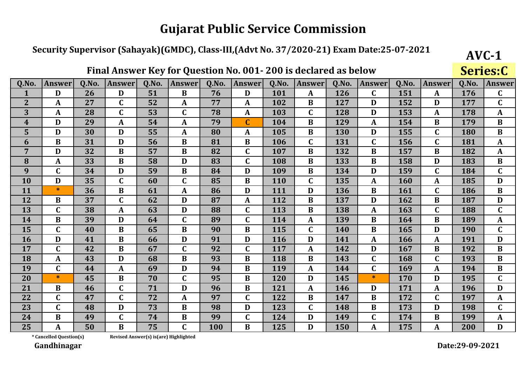### Security Supervisor (Sahayak)(GMDC), Class-III,(Advt No. 37/2020-21) Exam Date:25-07-2021

Final Answer Key for Question No. 001-200 is declared as below

|                |               |       |               |       | ∼                |       |                         |       |                  |       |               |       |                  |       | <b>Del Icala</b> |
|----------------|---------------|-------|---------------|-------|------------------|-------|-------------------------|-------|------------------|-------|---------------|-------|------------------|-------|------------------|
| Q.No.          | <b>Answer</b> | 0.No. | <b>Answer</b> | Q.No. | <b>Answer</b>    | Q.No. | <b>Answer</b>           | Q.No. | <b>Answer</b>    | 0.No. | <b>Answer</b> | 0.No. | <b>Answer</b>    | Q.No. | <b>Answer</b>    |
|                | D             | 26    | D             | 51    | B                | 76    | D                       | 101   | A                | 126   | $\mathbf C$   | 151   | $\mathbf{A}$     | 176   | $\mathbf C$      |
| $\overline{2}$ | A             | 27    | $\mathbf C$   | 52    | A                | 77    | A                       | 102   | B                | 127   | D             | 152   | D                | 177   | $\mathbf C$      |
| 3              | A             | 28    | $\mathbf C$   | 53    | $\mathbf C$      | 78    | A                       | 103   | $\mathbf C$      | 128   | D             | 153   | A                | 178   | A                |
| 4              | D             | 29    | A             | 54    | $\mathbf{A}$     | 79    | $\overline{\mathbf{C}}$ | 104   | $\bf{B}$         | 129   | $\mathbf{A}$  | 154   | $\bf{B}$         | 179   | $\bf{B}$         |
| 5              | D             | 30    | D             | 55    | $\boldsymbol{A}$ | 80    | A                       | 105   | $\bf{B}$         | 130   | D             | 155   | $\mathbf C$      | 180   | $\bf{B}$         |
| 6              | $\bf{B}$      | 31    | D             | 56    | $\bf{B}$         | 81    | $\bf{B}$                | 106   | $\mathbf C$      | 131   | $\mathbf C$   | 156   | $\mathbf C$      | 181   | $\mathbf{A}$     |
| $\overline{7}$ | D             | 32    | B             | 57    | $\bf{B}$         | 82    | $\mathbf C$             | 107   | B                | 132   | $\bf{B}$      | 157   | $\bf{B}$         | 182   | $\mathbf{A}$     |
| 8              | A             | 33    | B             | 58    | D                | 83    | $\mathbf C$             | 108   | B                | 133   | B             | 158   | D                | 183   | $\bf{B}$         |
| 9              | $\mathbf C$   | 34    | D             | 59    | $\bf{B}$         | 84    | D                       | 109   | B                | 134   | D             | 159   | $\mathbf C$      | 184   | $\mathbf C$      |
| 10             | D             | 35    | $\mathbf C$   | 60    | $\mathbf C$      | 85    | B                       | 110   | $\mathbf C$      | 135   | A             | 160   | A                | 185   | D                |
| 11             | $\ast$        | 36    | $\bf{B}$      | 61    | $\mathbf{A}$     | 86    | D                       | 111   | D                | 136   | $\bf{B}$      | 161   | $\mathbf C$      | 186   | $\bf{B}$         |
| 12             | $\bf{B}$      | 37    | $\mathbf C$   | 62    | D                | 87    | A                       | 112   | $\bf{B}$         | 137   | D             | 162   | $\bf{B}$         | 187   | D                |
| 13             | $\mathbf C$   | 38    | A             | 63    | D                | 88    | $\mathbf C$             | 113   | $\bf{B}$         | 138   | $\mathbf A$   | 163   | $\mathbf C$      | 188   | $\mathbf C$      |
| 14             | B             | 39    | D             | 64    | $\mathbf C$      | 89    | $\mathbf C$             | 114   | $\boldsymbol{A}$ | 139   | $\bf{B}$      | 164   | B                | 189   | $\mathbf{A}$     |
| 15             | C             | 40    | B             | 65    | B                | 90    | B                       | 115   | $\mathbf C$      | 140   | B             | 165   | D                | 190   | $\mathbf C$      |
| 16             | $\mathbf{D}$  | 41    | $\bf{B}$      | 66    | D                | 91    | D                       | 116   | D                | 141   | $\mathbf{A}$  | 166   | $\boldsymbol{A}$ | 191   | D                |
| 17             | $\mathbf C$   | 42    | B             | 67    | $\mathbf C$      | 92    | C                       | 117   | A                | 142   | D             | 167   | $\bf{B}$         | 192   | $\bf{B}$         |
| 18             | A             | 43    | $\mathbf{D}$  | 68    | B                | 93    | $\bf{B}$                | 118   | B                | 143   | $\mathbf C$   | 168   | $\mathbf C$      | 193   | $\bf{B}$         |
| 19             | $\mathbf C$   | 44    | A             | 69    | D                | 94    | $\bf{B}$                | 119   | $\mathbf{A}$     | 144   | $\mathbf C$   | 169   | $\mathbf A$      | 194   | $\bf{B}$         |
| 20             | $\ast$        | 45    | $\bf{B}$      | 70    | $\mathbf C$      | 95    | $\bf{B}$                | 120   | D                | 145   | $\ast$        | 170   | D                | 195   | $\mathbf C$      |
| 21             | B             | 46    | $\mathbf C$   | 71    | D                | 96    | B                       | 121   | A                | 146   | D             | 171   | A                | 196   | D                |
| 22             | C             | 47    | $\mathbf C$   | 72    | $\boldsymbol{A}$ | 97    | C                       | 122   | B                | 147   | B             | 172   | $\mathbf C$      | 197   | $\mathbf{A}$     |
| 23             | $\mathbf C$   | 48    | D             | 73    | B                | 98    | D                       | 123   | $\mathbf C$      | 148   | $\bf{B}$      | 173   | D                | 198   | $\mathbf C$      |
| 24             | B             | 49    | $\mathbf C$   | 74    | B                | 99    | C                       | 124   | D                | 149   | $\mathbf C$   | 174   | $\bf{B}$         | 199   | A                |
| 25             | A             | 50    | B             | 75    | $\mathbf{C}$     | 100   | $\overline{B}$          | 125   | D                | 150   | A             | 175   | A                | 200   | D                |

\* Cancelled Question(s)

Revised Answer(s) is(are) Highlighted

Gandhinagar

 $AVC-1$ 

Saries.C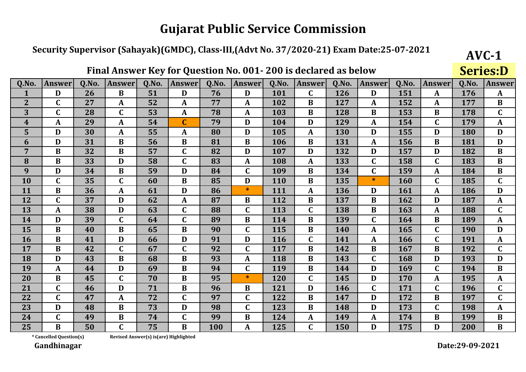### Security Supervisor (Sahayak)(GMDC), Class-III,(Advt No. 37/2020-21) Exam Date:25-07-2021

|                         |                  |       |               |       | <b>Yur</b>       |       |               |       |               |       |               |       |                  |       | UCLICJ.D      |
|-------------------------|------------------|-------|---------------|-------|------------------|-------|---------------|-------|---------------|-------|---------------|-------|------------------|-------|---------------|
| Q.No.                   | Answer           | Q.No. | <b>Answer</b> | Q.No. | <b>Answer</b>    | Q.No. | <b>Answer</b> | Q.No. | <b>Answer</b> | Q.No. | <b>Answer</b> | Q.No. | <b>Answer</b>    | Q.No. | <b>Answer</b> |
| $\mathbf{1}$            | D                | 26    | B             | 51    | D                | 76    | D             | 101   | $\mathbf C$   | 126   | D             | 151   | $\boldsymbol{A}$ | 176   | $\mathbf{A}$  |
| $\overline{2}$          | $\mathbf C$      | 27    | $\mathbf{A}$  | 52    | A                | 77    | A             | 102   | B             | 127   | A             | 152   | A                | 177   | $\bf{B}$      |
| 3                       | $\mathbf C$      | 28    | $\mathbf C$   | 53    | A                | 78    | A             | 103   | B             | 128   | B             | 153   | B                | 178   | $\mathbf C$   |
| $\overline{\mathbf{4}}$ | A                | 29    | $\mathbf{A}$  | 54    | $\mathbf C$      | 79    | D             | 104   | D             | 129   | A             | 154   | $\mathbf C$      | 179   | $\mathbf{A}$  |
| 5                       | D                | 30    | $\mathbf{A}$  | 55    | A                | 80    | D             | 105   | A             | 130   | D             | 155   | D                | 180   | D             |
| 6                       | D                | 31    | $\bf{B}$      | 56    | $\bf{B}$         | 81    | $\bf{B}$      | 106   | $\bf{B}$      | 131   | A             | 156   | B                | 181   | D             |
| $\overline{7}$          | $\bf{B}$         | 32    | $\bf{B}$      | 57    | $\mathbf C$      | 82    | D             | 107   | D             | 132   | D             | 157   | D                | 182   | $\, {\bf B}$  |
| 8                       | $\bf{B}$         | 33    | D             | 58    | $\mathbf C$      | 83    | $\mathbf{A}$  | 108   | A             | 133   | $\mathbf C$   | 158   | $\mathbf C$      | 183   | $\bf{B}$      |
| 9                       | D                | 34    | B             | 59    | D                | 84    | $\mathbf C$   | 109   | B             | 134   | $\mathbf C$   | 159   | $\boldsymbol{A}$ | 184   | $\bf{B}$      |
| 10                      | $\mathbf C$      | 35    | $\mathbf C$   | 60    | $\bf{B}$         | 85    | D             | 110   | $\bf{B}$      | 135   | *             | 160   | $\mathbf C$      | 185   | $\mathbf C$   |
| 11                      | B                | 36    | $\mathbf A$   | 61    | D                | 86    | $\ast$        | 111   | A             | 136   | D             | 161   | A                | 186   | D             |
| 12                      | $\mathbf C$      | 37    | D             | 62    | $\boldsymbol{A}$ | 87    | B             | 112   | $\bf{B}$      | 137   | B             | 162   | D                | 187   | $\mathbf A$   |
| 13                      | $\boldsymbol{A}$ | 38    | D             | 63    | $\mathbf C$      | 88    | $\mathbf C$   | 113   | $\mathbf C$   | 138   | B             | 163   | $\boldsymbol{A}$ | 188   | $\mathbf C$   |
| 14                      | D                | 39    | $\mathbf C$   | 64    | $\mathbf C$      | 89    | B             | 114   | B             | 139   | $\mathbf C$   | 164   | B                | 189   | $\mathbf{A}$  |
| 15                      | $\bf{B}$         | 40    | B             | 65    | B                | 90    | $\mathbf C$   | 115   | B             | 140   | A             | 165   | $\mathbf C$      | 190   | D             |
| 16                      | $\bf{B}$         | 41    | D             | 66    | D                | 91    | D             | 116   | $\mathbf C$   | 141   | A             | 166   | $\mathbf C$      | 191   | $\mathbf{A}$  |
| 17                      | $\bf{B}$         | 42    | $\mathbf C$   | 67    | $\mathbf C$      | 92    | $\mathbf C$   | 117   | $\bf{B}$      | 142   | B             | 167   | $\bf{B}$         | 192   | $\mathbf C$   |
| 18                      | D                | 43    | $\bf{B}$      | 68    | $\bf{B}$         | 93    | $\mathbf{A}$  | 118   | $\bf{B}$      | 143   | $\mathbf C$   | 168   | D                | 193   | D             |
| 19                      | A                | 44    | D             | 69    | $\bf{B}$         | 94    | $\mathbf C$   | 119   | $\bf{B}$      | 144   | D             | 169   | $\mathbf C$      | 194   | $\bf{B}$      |
| 20                      | $\bf{B}$         | 45    | $\mathbf C$   | 70    | $\bf{B}$         | 95    | $\ast$        | 120   | $\mathbf C$   | 145   | D             | 170   | $\boldsymbol{A}$ | 195   | $\mathbf{A}$  |
| 21                      | $\mathbf C$      | 46    | D             | 71    | $\bf{B}$         | 96    | B             | 121   | D             | 146   | $\mathbf C$   | 171   | $\mathbf C$      | 196   | $\mathbf C$   |
| 22                      | $\mathbf C$      | 47    | A             | 72    | $\mathbf C$      | 97    | C             | 122   | B             | 147   | D             | 172   | $\bf{B}$         | 197   | $\mathbf C$   |
| 23                      | D                | 48    | B             | 73    | D                | 98    | C             | 123   | $\bf{B}$      | 148   | D             | 173   | $\mathbf C$      | 198   | $\mathbf A$   |
| 24                      | $\mathbf C$      | 49    | $\bf{B}$      | 74    | $\mathbf C$      | 99    | B             | 124   | A             | 149   | A             | 174   | B                | 199   | $\bf{B}$      |
| 25                      | B                | 50    | $\mathbf{C}$  | 75    | $\bf{B}$         | 100   | A             | 125   | $\mathbf C$   | 150   | D             | 175   | D                | 200   | $\bf{B}$      |

#### Final Answer Key for Question No. 001-200 is declared as helow

\* Cancelled Question(s)

 $AVC-1$ 

 $Cariac.D$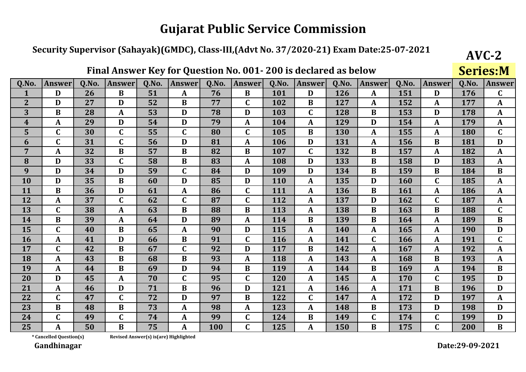### Security Supervisor (Sahayak)(GMDC), Class-III,(Advt No. 37/2020-21) Exam Date:25-07-2021

|                  |                  |       |               |       |               |       |                |       |                  |       |             |       |                  |       | DUI IUDII'I   |
|------------------|------------------|-------|---------------|-------|---------------|-------|----------------|-------|------------------|-------|-------------|-------|------------------|-------|---------------|
| Q.No.            | <b>Answer</b>    | Q.No. | <b>Answer</b> | Q.No. | <b>Answer</b> | Q.No. | <b>Answer</b>  | Q.No. | <b>Answer</b>    | Q.No. | Answer      | Q.No. | <b>Answer</b>    | Q.No. | <b>Answer</b> |
| $\mathbf{1}$     | D                | 26    | B             | 51    | A             | 76    | B              | 101   | D                | 126   | A           | 151   | D                | 176   | $\mathbf C$   |
| $\overline{2}$   | D                | 27    | D             | 52    | B             | 77    | $\mathbf C$    | 102   | B                | 127   | A           | 152   | A                | 177   | $\mathbf{A}$  |
| 3                | $\bf{B}$         | 28    | $\mathbf{A}$  | 53    | D             | 78    | D              | 103   | $\mathbf C$      | 128   | $\bf{B}$    | 153   | D                | 178   | A             |
| $\boldsymbol{4}$ | A                | 29    | D             | 54    | D             | 79    | A              | 104   | A                | 129   | D           | 154   | $\boldsymbol{A}$ | 179   | $\mathbf{A}$  |
| 5                | $\mathbf C$      | 30    | $\mathbf C$   | 55    | $\mathbf C$   | 80    | $\mathbf C$    | 105   | $\bf{B}$         | 130   | A           | 155   | $\mathbf{A}$     | 180   | $\mathbf C$   |
| 6                | $\mathbf C$      | 31    | $\mathbf C$   | 56    | D             | 81    | A              | 106   | D                | 131   | A           | 156   | $\bf{B}$         | 181   | D             |
| $\overline{7}$   | $\boldsymbol{A}$ | 32    | $\bf{B}$      | 57    | $\bf{B}$      | 82    | B              | 107   | $\mathbf C$      | 132   | B           | 157   | $\mathbf{A}$     | 182   | $\mathbf{A}$  |
| 8                | D                | 33    | $\mathbf C$   | 58    | B             | 83    | A              | 108   | D                | 133   | B           | 158   | D                | 183   | A             |
| 9                | D                | 34    | D             | 59    | $\mathbf C$   | 84    | D              | 109   | D                | 134   | B           | 159   | B                | 184   | $\bf{B}$      |
| 10               | D                | 35    | $\bf{B}$      | 60    | D             | 85    | D              | 110   | A                | 135   | D           | 160   | $\mathbf C$      | 185   | A             |
| 11               | $\bf{B}$         | 36    | D             | 61    | A             | 86    | $\mathbf C$    | 111   | A                | 136   | $\bf{B}$    | 161   | $\mathbf{A}$     | 186   | $\mathbf{A}$  |
| 12               | A                | 37    | $\mathbf C$   | 62    | $\mathbf C$   | 87    | $\mathbf C$    | 112   | $\boldsymbol{A}$ | 137   | D           | 162   | $\mathbf C$      | 187   | A             |
| 13               | $\mathbf C$      | 38    | A             | 63    | B             | 88    | B              | 113   | $\boldsymbol{A}$ | 138   | $\bf{B}$    | 163   | $\bf{B}$         | 188   | $\mathbf C$   |
| 14               | $\bf{B}$         | 39    | A             | 64    | D             | 89    | A              | 114   | B                | 139   | B           | 164   | $\mathbf{A}$     | 189   | $\bf{B}$      |
| 15               | $\mathbf C$      | 40    | B             | 65    | A             | 90    | D              | 115   | A                | 140   | A           | 165   | $\mathbf{A}$     | 190   | D             |
| 16               | A                | 41    | D             | 66    | $\bf{B}$      | 91    | $\mathbf C$    | 116   | A                | 141   | $\mathbf C$ | 166   | $\boldsymbol{A}$ | 191   | $\mathbf C$   |
| 17               | $\mathbf C$      | 42    | $\bf{B}$      | 67    | $\mathbf C$   | 92    | D              | 117   | B                | 142   | A           | 167   | $\boldsymbol{A}$ | 192   | A             |
| 18               | A                | 43    | $\bf{B}$      | 68    | $\bf{B}$      | 93    | A              | 118   | $\boldsymbol{A}$ | 143   | A           | 168   | $\bf{B}$         | 193   | $\mathbf{A}$  |
| 19               | A                | 44    | $\bf{B}$      | 69    | D             | 94    | B              | 119   | $\mathbf{A}$     | 144   | $\bf{B}$    | 169   | $\mathbf{A}$     | 194   | $\bf{B}$      |
| 20               | D                | 45    | $\mathbf{A}$  | 70    | $\mathbf C$   | 95    | $\overline{C}$ | 120   | $\boldsymbol{A}$ | 145   | A           | 170   | $\mathbf C$      | 195   | D             |
| 21               | $\mathbf{A}$     | 46    | D             | 71    | $\bf{B}$      | 96    | D              | 121   | $\boldsymbol{A}$ | 146   | A           | 171   | B                | 196   | D             |
| 22               | $\mathbf C$      | 47    | $\mathbf C$   | 72    | D             | 97    | $\bf{B}$       | 122   | $\mathbf C$      | 147   | A           | 172   | D                | 197   | A             |
| 23               | $\bf{B}$         | 48    | B             | 73    | A             | 98    | A              | 123   | A                | 148   | $\bf{B}$    | 173   | D                | 198   | D             |
| 24               | $\mathbf C$      | 49    | $\mathbf C$   | 74    | A             | 99    | $\mathbf C$    | 124   | B                | 149   | $\mathbf C$ | 174   | $\mathbf C$      | 199   | D             |
| 25               | A                | 50    | B             | 75    | A             | 100   | $\mathbf{C}$   | 125   | A                | 150   | B           | 175   | $\overline{C}$   | 200   | $\bf{B}$      |

Final Answer Key for Question No. 001-200 is declared as below

\* Cancelled Question(s)

Revised Answer(s) is(are) Highlighted

Gandhinagar

Date:29-09-2021

 $AVC-2$ **Series**: M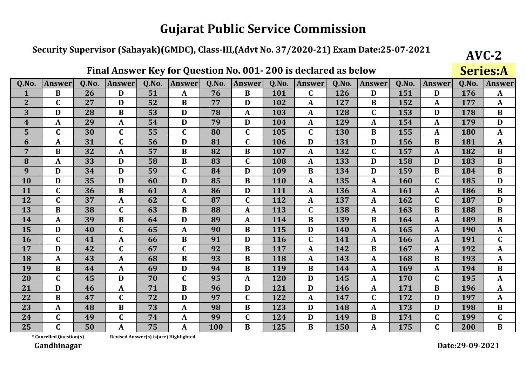### Security Supervisor (Sahayak)(GMDC), Class-III,(Advt No. 37/2020-21) Exam Date:25-07-2021

| Q.No.            | <b>Answer</b>    | Q.No. | <b>Answer</b> | Q.No. | <b>Answer</b> | Q.No. | <b>Answer</b> | Q.No. | <b>Answer</b>    | Q.No. | Answer           | Q.No. | <b>Answer</b>    | Q.No. | <b>Answer</b> |
|------------------|------------------|-------|---------------|-------|---------------|-------|---------------|-------|------------------|-------|------------------|-------|------------------|-------|---------------|
| 1                | $\bf{B}$         | 26    | D             | 51    | A             | 76    | B             | 101   | $\mathbf C$      | 126   | D                | 151   | D                | 176   | $\mathbf{A}$  |
| $\overline{2}$   | $\mathbf C$      | 27    | D             | 52    | $\bf{B}$      | 77    | D             | 102   | A                | 127   | B                | 152   | A                | 177   | $\mathbf{A}$  |
| 3                | D                | 28    | B             | 53    | D             | 78    | A             | 103   | A                | 128   | $\mathbf C$      | 153   | D                | 178   | $\bf{B}$      |
| $\boldsymbol{4}$ | A                | 29    | A             | 54    | D             | 79    | D             | 104   | $\boldsymbol{A}$ | 129   | A                | 154   | $\boldsymbol{A}$ | 179   | D             |
| 5                | $\mathbf C$      | 30    | $\mathbf C$   | 55    | $\mathbf C$   | 80    | $\mathbf C$   | 105   | $\mathbf C$      | 130   | $\bf{B}$         | 155   | A                | 180   | $\mathbf{A}$  |
| 6                | $\mathbf{A}$     | 31    | $\mathbf C$   | 56    | D             | 81    | $\mathbf C$   | 106   | D                | 131   | D                | 156   | B                | 181   | $\mathbf{A}$  |
| $\overline{7}$   | $\bf{B}$         | 32    | A             | 57    | $\bf{B}$      | 82    | B             | 107   | A                | 132   | $\mathbf C$      | 157   | $\boldsymbol{A}$ | 182   | $\bf{B}$      |
| 8                | A                | 33    | D             | 58    | B             | 83    | $\mathbf C$   | 108   | A                | 133   | D                | 158   | D                | 183   | $\bf{B}$      |
| 9                | D                | 34    | D             | 59    | $\mathbf C$   | 84    | D             | 109   | $\bf{B}$         | 134   | D                | 159   | $\bf{B}$         | 184   | $\bf{B}$      |
| 10               | D                | 35    | D             | 60    | D             | 85    | B             | 110   | $\boldsymbol{A}$ | 135   | A                | 160   | $\mathbf C$      | 185   | D             |
| 11               | $\mathbf C$      | 36    | $\bf{B}$      | 61    | A             | 86    | D             | 111   | $\boldsymbol{A}$ | 136   | A                | 161   | A                | 186   | $\bf{B}$      |
| 12               | $\mathbf C$      | 37    | A             | 62    | $\mathbf C$   | 87    | $\mathbf C$   | 112   | $\boldsymbol{A}$ | 137   | A                | 162   | $\mathbf C$      | 187   | D             |
| 13               | $\bf{B}$         | 38    | $\mathbf C$   | 63    | B             | 88    | $\mathbf{A}$  | 113   | $\mathbf C$      | 138   | $\boldsymbol{A}$ | 163   | $\bf{B}$         | 188   | $\bf{B}$      |
| 14               | A                | 39    | B             | 64    | D             | 89    | A             | 114   | $\bf{B}$         | 139   | $\bf{B}$         | 164   | $\boldsymbol{A}$ | 189   | $\bf{B}$      |
| 15               | D                | 40    | $\mathbf C$   | 65    | A             | 90    | B             | 115   | D                | 140   | A                | 165   | A                | 190   | $\mathbf{A}$  |
| 16               | $\mathbf C$      | 41    | $\mathbf{A}$  | 66    | $\bf{B}$      | 91    | D             | 116   | $\mathbf C$      | 141   | A                | 166   | A                | 191   | $\mathbf C$   |
| 17               | D                | 42    | $\mathbf C$   | 67    | $\mathbf C$   | 92    | B             | 117   | $\boldsymbol{A}$ | 142   | B                | 167   | $\boldsymbol{A}$ | 192   | $\mathbf A$   |
| 18               | $\boldsymbol{A}$ | 43    | A             | 68    | B             | 93    | B             | 118   | $\mathbf A$      | 143   | A                | 168   | $\bf{B}$         | 193   | $\mathbf{A}$  |
| 19               | $\bf{B}$         | 44    | A             | 69    | D             | 94    | B             | 119   | $\bf{B}$         | 144   | A                | 169   | $\boldsymbol{A}$ | 194   | $\bf{B}$      |
| 20               | $\mathbf C$      | 45    | D             | 70    | $\mathbf C$   | 95    | A             | 120   | D                | 145   | A                | 170   | $\mathbf C$      | 195   | A             |
| 21               | D                | 46    | A             | 71    | B             | 96    | D             | 121   | D                | 146   | A                | 171   | B                | 196   | $\mathbf{A}$  |
| 22               | B                | 47    | $\mathbf C$   | 72    | D             | 97    | $\mathbf C$   | 122   | A                | 147   | $\mathbf C$      | 172   | D                | 197   | $\mathbf{A}$  |
| 23               | A                | 48    | $\bf{B}$      | 73    | A             | 98    | B             | 123   | D                | 148   | A                | 173   | D                | 198   | $\bf{B}$      |
| 24               | $\mathbf C$      | 49    | $\mathbf C$   | 74    | A             | 99    | $\mathbf C$   | 124   | D                | 149   | B                | 174   | $\mathbf C$      | 199   | $\mathbf C$   |
| 25               | $\overline{C}$   | 50    | A             | 75    | A             | 100   | B             | 125   | $\bf{B}$         | 150   | A                | 175   | $\overline{C}$   | 200   | $\bf{B}$      |

Final Answer Key for Question No. 001-200 is declared as below

\* Cancelled Question(s)

Revised Answer(s) is(are) Highlighted

Gandhinagar

Date:29-09-2021

 $AVC-2$ 

 $S<sub>arice</sub> \Delta$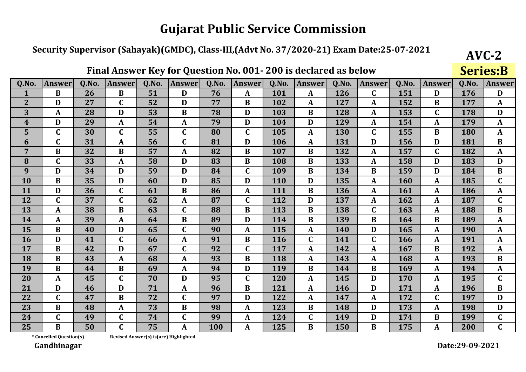### Security Supervisor (Sahayak)(GMDC), Class-III,(Advt No. 37/2020-21) Exam Date:25-07-2021

| Q.No.                   | <b>Answer</b> | Q.No. | <b>Answer</b>           | Q.No. | <b>Answer</b> | Q.No. | <b>Answer</b> | Q.No. | <b>Answer</b>    | Q.No. | Answer      | Q.No. | <b>Answer</b> | Q.No.      | <b>Answer</b> |
|-------------------------|---------------|-------|-------------------------|-------|---------------|-------|---------------|-------|------------------|-------|-------------|-------|---------------|------------|---------------|
| 1                       | B             | 26    | B                       | 51    | D             | 76    | A             | 101   | A                | 126   | $\mathbf C$ | 151   | D             | 176        | D             |
| $\overline{2}$          | D             | 27    | $\mathbf C$             | 52    | D             | 77    | B             | 102   | A                | 127   | A           | 152   | B             | 177        | $\mathbf{A}$  |
| 3                       | A             | 28    | D                       | 53    | $\bf{B}$      | 78    | D             | 103   | B                | 128   | A           | 153   | $\mathbf C$   | 178        | D             |
| $\overline{\mathbf{4}}$ | D             | 29    | A                       | 54    | A             | 79    | D             | 104   | D                | 129   | A           | 154   | $\mathbf{A}$  | 179        | $\mathbf{A}$  |
| 5                       | $\mathbf C$   | 30    | $\mathbf C$             | 55    | $\mathbf C$   | 80    | $\mathbf C$   | 105   | $\boldsymbol{A}$ | 130   | $\mathbf C$ | 155   | B             | 180        | A             |
| 6                       | $\mathbf C$   | 31    | $\mathbf{A}$            | 56    | $\mathbf C$   | 81    | D             | 106   | $\mathbf{A}$     | 131   | D           | 156   | D             | 181        | $\bf{B}$      |
| $\overline{7}$          | B             | 32    | B                       | 57    | A             | 82    | $\bf{B}$      | 107   | $\bf{B}$         | 132   | $\mathbf A$ | 157   | $\mathbf C$   | 182        | $\mathbf{A}$  |
| 8                       | $\mathbf C$   | 33    | A                       | 58    | D             | 83    | B             | 108   | B                | 133   | A           | 158   | D             | 183        | D             |
| 9                       | D             | 34    | D                       | 59    | D             | 84    | $\mathbf C$   | 109   | $\bf{B}$         | 134   | $\bf{B}$    | 159   | D             | 184        | $\bf{B}$      |
| 10                      | B             | 35    | D                       | 60    | D             | 85    | D             | 110   | D                | 135   | A           | 160   | A             | 185        | $\mathbf C$   |
| 11                      | D             | 36    | $\mathbf C$             | 61    | $\bf{B}$      | 86    | A             | 111   | B                | 136   | A           | 161   | A             | 186        | $\mathbf{A}$  |
| 12                      | $\mathbf C$   | 37    | $\mathbf C$             | 62    | A             | 87    | $\mathbf C$   | 112   | D                | 137   | A           | 162   | A             | 187        | $\mathbf C$   |
| 13                      | $\mathbf{A}$  | 38    | $\bf{B}$                | 63    | $\mathbf C$   | 88    | B             | 113   | $\bf{B}$         | 138   | $\mathbf C$ | 163   | A             | 188        | $\bf{B}$      |
| 14                      | A             | 39    | $\mathbf A$             | 64    | $\bf{B}$      | 89    | D             | 114   | $\bf{B}$         | 139   | $\bf{B}$    | 164   | B             | 189        | $\mathbf A$   |
| 15                      | B             | 40    | D                       | 65    | $\mathbf C$   | 90    | A             | 115   | A                | 140   | D           | 165   | A             | <b>190</b> | A             |
| 16                      | D             | 41    | $\mathbf C$             | 66    | A             | 91    | B             | 116   | $\mathbf C$      | 141   | $\mathbf C$ | 166   | A             | 191        | $\mathbf{A}$  |
| 17                      | B             | 42    | D                       | 67    | $\mathbf C$   | 92    | $\mathbf C$   | 117   | A                | 142   | A           | 167   | B             | 192        | $\mathbf A$   |
| 18                      | $\bf{B}$      | 43    | A                       | 68    | A             | 93    | B             | 118   | A                | 143   | A           | 168   | A             | 193        | $\bf{B}$      |
| 19                      | $\bf{B}$      | 44    | $\bf{B}$                | 69    | A             | 94    | D             | 119   | $\bf{B}$         | 144   | $\bf{B}$    | 169   | A             | 194        | $\mathbf{A}$  |
| 20                      | $\mathbf{A}$  | 45    | $\mathbf C$             | 70    | D             | 95    | $\mathbf C$   | 120   | $\boldsymbol{A}$ | 145   | D           | 170   | A             | 195        | $\mathbf C$   |
| 21                      | D             | 46    | D                       | 71    | A             | 96    | B             | 121   | A                | 146   | D           | 171   | A             | 196        | $\bf{B}$      |
| 22                      | $\mathbf C$   | 47    | B                       | 72    | $\mathbf C$   | 97    | D             | 122   | A                | 147   | A           | 172   | $\mathbf C$   | 197        | D             |
| 23                      | $\bf{B}$      | 48    | $\boldsymbol{A}$        | 73    | $\bf{B}$      | 98    | A             | 123   | $\bf{B}$         | 148   | D           | 173   | A             | 198        | D             |
| 24                      | $\mathbf C$   | 49    | $\mathbf C$             | 74    | $\mathbf C$   | 99    | A             | 124   | $\mathbf C$      | 149   | D           | 174   | $\bf{B}$      | 199        | $\mathbf C$   |
| 25                      | B             | 50    | $\overline{\mathbf{C}}$ | 75    | A             | 100   | A             | 125   | $\bf{B}$         | 150   | B           | 175   | A             | 200        | $\mathbf C$   |

Final Answer Key for Question No. 001-200 is declared as below

\* Cancelled Question(s)

Revised Answer(s) is(are) Highlighted

Gandhinagar

 $AVC-2$ 

Series R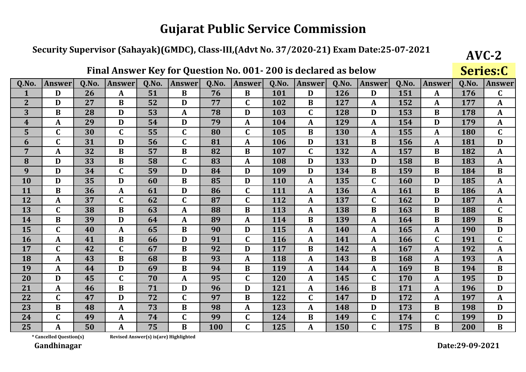### Security Supervisor (Sahayak)(GMDC), Class-III,(Advt No. 37/2020-21) Exam Date:25-07-2021

|                  |                  |       |               |       |               |       | Final Answer Key for Question No. 001-200 is declared as below |            |               |       |                  |       |               |       | Series:C     |
|------------------|------------------|-------|---------------|-------|---------------|-------|----------------------------------------------------------------|------------|---------------|-------|------------------|-------|---------------|-------|--------------|
| Q.No.            | <b>Answer</b>    | Q.No. | <b>Answer</b> | Q.No. | <b>Answer</b> | Q.No. | <b>Answer</b>                                                  | Q.No.      | <b>Answer</b> | Q.No. | <b>Answer</b>    | Q.No. | <b>Answer</b> | Q.No. | Answe        |
| 1                | D                | 26    | A             | 51    | B             | 76    | B                                                              | 101        | D             | 126   | D                | 151   | A             | 176   | $\mathbf C$  |
| $\overline{2}$   | D                | 27    | B             | 52    | D             | 77    | $\mathbf C$                                                    | 102        | $\bf{B}$      | 127   | $\mathbf{A}$     | 152   | A             | 177   | A            |
| 3                | $\bf{B}$         | 28    | D             | 53    | A             | 78    | D                                                              | 103        | $\mathbf C$   | 128   | D                | 153   | B             | 178   | $\mathbf A$  |
| $\boldsymbol{4}$ | $\mathbf{A}$     | 29    | D             | 54    | D             | 79    | A                                                              | 104        | $\mathbf{A}$  | 129   | $\mathbf{A}$     | 154   | D             | 179   | A            |
| 5                | $\mathbf C$      | 30    | $\mathbf C$   | 55    | $\mathbf C$   | 80    | $\mathbf C$                                                    | 105        | B             | 130   | $\boldsymbol{A}$ | 155   | A             | 180   | $\mathbf C$  |
| 6                | $\mathbf C$      | 31    | D             | 56    | $\mathsf C$   | 81    | $\mathbf{A}$                                                   | 106        | D             | 131   | $\bf{B}$         | 156   | A             | 181   | D            |
| $\overline{7}$   | $\boldsymbol{A}$ | 32    | B             | 57    | $\bf{B}$      | 82    | B                                                              | 107        | $\mathbf C$   | 132   | $\boldsymbol{A}$ | 157   | $\bf{B}$      | 182   | A            |
| 8                | D                | 33    | B             | 58    | $\mathbf C$   | 83    | A                                                              | 108        | D             | 133   | D                | 158   | B             | 183   | A            |
| 9                | D                | 34    | $\mathbf C$   | 59    | D             | 84    | D                                                              | 109        | D             | 134   | $\bf{B}$         | 159   | B             | 184   | $\bf{B}$     |
| 10               | D                | 35    | D             | 60    | $\bf{B}$      | 85    | D                                                              | 110        | A             | 135   | $\mathbf C$      | 160   | D             | 185   | $\mathbf A$  |
| 11               | $\bf{B}$         | 36    | A             | 61    | D             | 86    | $\mathbf C$                                                    | 111        | $\mathbf{A}$  | 136   | $\boldsymbol{A}$ | 161   | B             | 186   | A            |
| 12               | $\mathbf{A}$     | 37    | $\mathbf C$   | 62    | $\mathsf C$   | 87    | $\mathbf C$                                                    | 112        | $\mathbf{A}$  | 137   | $\mathbf C$      | 162   | D             | 187   | A            |
| 13               | $\mathbf C$      | 38    | $\bf{B}$      | 63    | A             | 88    | B                                                              | 113        | A             | 138   | $\bf{B}$         | 163   | B             | 188   | $\mathbf C$  |
| 14               | $\bf{B}$         | 39    | D             | 64    | A             | 89    | A                                                              | 114        | B             | 139   | $\mathbf{A}$     | 164   | B             | 189   | $\bf{B}$     |
| 15               | $\mathbf C$      | 40    | $\mathbf{A}$  | 65    | $\bf{B}$      | 90    | D                                                              | 115        | $\mathbf A$   | 140   | $\mathbf{A}$     | 165   | A             | 190   | D            |
| <b>16</b>        | $\mathbf{A}$     | 41    | $\bf{B}$      | 66    | D             | 91    | $\mathbf C$                                                    | 116        | $\mathbf{A}$  | 141   | A                | 166   | $\mathbf C$   | 191   | $\mathbf C$  |
| 17               | $\mathbf C$      | 42    | $\mathbf C$   | 67    | B             | 92    | D                                                              | 117        | B             | 142   | A                | 167   | A             | 192   | A            |
| 18               | $\mathbf{A}$     | 43    | $\bf{B}$      | 68    | $\bf{B}$      | 93    | $\mathbf{A}$                                                   | 118        | A             | 143   | $\bf{B}$         | 168   | $\mathbf{A}$  | 193   | $\mathbf{A}$ |
| 19               | $\mathbf{A}$     | 44    | D             | 69    | $\bf{B}$      | 94    | B                                                              | 119        | $\mathbf{A}$  | 144   | A                | 169   | B             | 194   | $\bf{B}$     |
| 20               | D                | 45    | $\mathbf C$   | 70    | A             | 95    | $\mathbf C$                                                    | <b>120</b> | $\mathbf{A}$  | 145   | $\mathbf C$      | 170   | A             | 195   | D            |
| 21               | $\mathbf A$      | 46    | $\bf{B}$      | 71    | D             | 96    | D                                                              | 121        | A             | 146   | $\bf{B}$         | 171   | A             | 196   | D            |
| 22               | $\mathbf C$      | 47    | D             | 72    | $\mathbf C$   | 97    | B                                                              | 122        | $\mathbf C$   | 147   | D                | 172   | A             | 197   | A            |
| 23               | $\bf{B}$         | 48    | $\mathbf{A}$  | 73    | B             | 98    | A                                                              | 123        | $\mathbf{A}$  | 148   | D                | 173   | B             | 198   | D            |
| 24               | $\mathbf C$      | 49    | A             | 74    | $\mathsf C$   | 99    | $\mathbf C$                                                    | 124        | B             | 149   | $\mathbf C$      | 174   | $\mathbf C$   | 199   | D            |
| 25               | A                | 50    | A             | 75    | $\bf{B}$      | 100   | $\mathbf C$                                                    | 125        |               | 150   | $\mathbf C$      | 175   | B             | 200   | B            |

\* Cancelled Question(s)

Revised Answer(s) is(are) Highlighted

Gandhinagar

 $AVC-2$